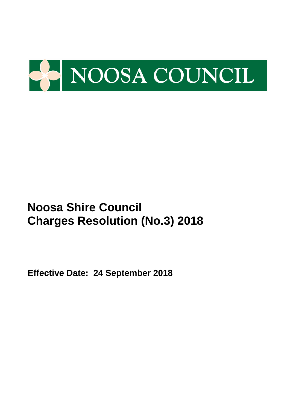

**Effective Date: 24 September 2018**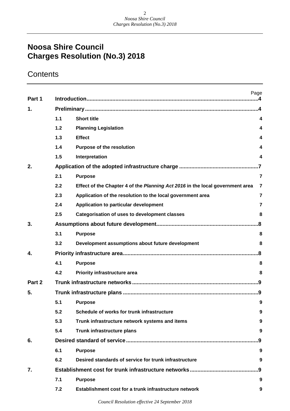## **Contents**

| Part 1 |     | Page                                                                          |                         |
|--------|-----|-------------------------------------------------------------------------------|-------------------------|
| 1.     |     |                                                                               | $\boldsymbol{\Lambda}$  |
|        | 1.1 | <b>Short title</b>                                                            | 4                       |
|        | 1.2 | <b>Planning Legislation</b>                                                   | 4                       |
|        | 1.3 | <b>Effect</b>                                                                 | 4                       |
|        | 1.4 | <b>Purpose of the resolution</b>                                              | 4                       |
|        | 1.5 | Interpretation                                                                | 4                       |
| 2.     |     |                                                                               |                         |
|        | 2.1 | <b>Purpose</b>                                                                | $\overline{\mathbf{r}}$ |
|        | 2.2 | Effect of the Chapter 4 of the Planning Act 2016 in the local government area | $\overline{7}$          |
|        | 2.3 | Application of the resolution to the local government area                    | $\overline{7}$          |
|        | 2.4 | Application to particular development                                         | $\overline{7}$          |
|        | 2.5 | <b>Categorisation of uses to development classes</b>                          | 8                       |
| 3.     |     |                                                                               | .8                      |
|        | 3.1 | <b>Purpose</b>                                                                | 8                       |
|        | 3.2 | Development assumptions about future development                              | 8                       |
| 4.     |     |                                                                               | .8                      |
|        | 4.1 | <b>Purpose</b>                                                                | 8                       |
|        | 4.2 | Priority infrastructure area                                                  | 8                       |
| Part 2 |     |                                                                               |                         |
| 5.     |     |                                                                               | .9                      |
|        | 5.1 | <b>Purpose</b>                                                                | 9                       |
|        | 5.2 | Schedule of works for trunk infrastructure                                    | 9                       |
|        | 5.3 | Trunk infrastructure network systems and items                                | 9                       |
|        | 5.4 | Trunk infrastructure plans                                                    | 9                       |
| 6.     |     |                                                                               | .9                      |
|        | 6.1 | <b>Purpose</b>                                                                | 9                       |
|        | 6.2 | Desired standards of service for trunk infrastructure                         | 9                       |
| 7.     |     |                                                                               | .9                      |
|        | 7.1 | <b>Purpose</b>                                                                | 9                       |
|        | 7.2 | Establishment cost for a trunk infrastructure network                         | 9                       |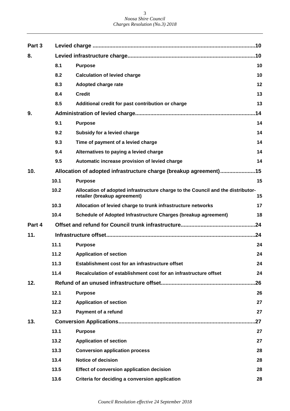| Part 3 |      |                                                                                                                 | .10 |
|--------|------|-----------------------------------------------------------------------------------------------------------------|-----|
| 8.     |      |                                                                                                                 |     |
|        | 8.1  | <b>Purpose</b>                                                                                                  | 10  |
|        | 8.2  | <b>Calculation of levied charge</b>                                                                             | 10  |
|        | 8.3  | Adopted charge rate                                                                                             | 12  |
|        | 8.4  | <b>Credit</b>                                                                                                   | 13  |
|        | 8.5  | Additional credit for past contribution or charge                                                               | 13  |
| 9.     |      |                                                                                                                 | .14 |
|        | 9.1  | <b>Purpose</b>                                                                                                  | 14  |
|        | 9.2  | Subsidy for a levied charge                                                                                     | 14  |
|        | 9.3  | Time of payment of a levied charge                                                                              | 14  |
|        | 9.4  | Alternatives to paying a levied charge                                                                          | 14  |
|        | 9.5  | Automatic increase provision of levied charge                                                                   | 14  |
| 10.    |      | Allocation of adopted infrastructure charge (breakup agreement)                                                 | .15 |
|        | 10.1 | <b>Purpose</b>                                                                                                  | 15  |
|        | 10.2 | Allocation of adopted infrastructure charge to the Council and the distributor-<br>retailer (breakup agreement) | 15  |
|        | 10.3 | Allocation of levied charge to trunk infrastructure networks                                                    | 17  |
|        | 10.4 | Schedule of Adopted Infrastructure Charges (breakup agreement)                                                  | 18  |
| Part 4 |      |                                                                                                                 | .24 |
| 11.    |      |                                                                                                                 |     |
|        | 11.1 | <b>Purpose</b>                                                                                                  | 24  |
|        | 11.2 | <b>Application of section</b>                                                                                   | 24  |
|        | 11.3 | Establishment cost for an infrastructure offset                                                                 | 24  |
|        | 11.4 | Recalculation of establishment cost for an infrastructure offset                                                | 24  |
| 12.    |      |                                                                                                                 | .26 |
|        | 12.1 | <b>Purpose</b>                                                                                                  | 26  |
|        | 12.2 | <b>Application of section</b>                                                                                   | 27  |
|        | 12.3 | <b>Payment of a refund</b>                                                                                      | 27  |
| 13.    |      |                                                                                                                 | .27 |
|        | 13.1 | <b>Purpose</b>                                                                                                  | 27  |
|        | 13.2 | <b>Application of section</b>                                                                                   | 27  |
|        | 13.3 | <b>Conversion application process</b>                                                                           | 28  |
|        | 13.4 | <b>Notice of decision</b>                                                                                       | 28  |
|        | 13.5 | <b>Effect of conversion application decision</b>                                                                | 28  |
|        | 13.6 | Criteria for deciding a conversion application                                                                  | 28  |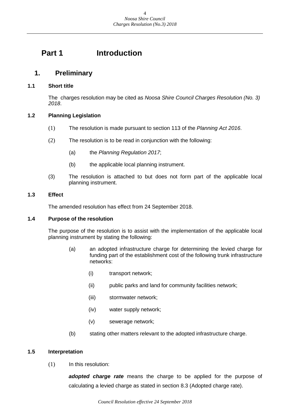## <span id="page-3-0"></span>**Part 1 Introduction**

## <span id="page-3-1"></span>**1. Preliminary**

#### <span id="page-3-2"></span>**1.1 Short title**

The charges resolution may be cited as *Noosa Shire Council Charges Resolution (No. 3) 2018*.

### <span id="page-3-3"></span>**1.2 Planning Legislation**

- (1) The resolution is made pursuant to section 113 of the *Planning Act 2016*.
- (2) The resolution is to be read in conjunction with the following:
	- (a) the *Planning Regulation 2017*;
	- (b) the applicable local planning instrument.
- (3) The resolution is attached to but does not form part of the applicable local planning instrument.

#### <span id="page-3-4"></span>**1.3 Effect**

The amended resolution has effect from 24 September 2018.

#### <span id="page-3-5"></span>**1.4 Purpose of the resolution**

The purpose of the resolution is to assist with the implementation of the applicable local planning instrument by stating the following:

- (a) an adopted infrastructure charge for determining the levied charge for funding part of the establishment cost of the following trunk infrastructure networks:
	- (i) transport network;
	- (ii) public parks and land for community facilities network;
	- (iii) stormwater network;
	- (iv) water supply network;
	- (v) sewerage network;
- (b) stating other matters relevant to the adopted infrastructure charge.

#### <span id="page-3-6"></span>**1.5 Interpretation**

(1) In this resolution:

*adopted charge rate* means the charge to be applied for the purpose of calculating a levied charge as stated in section 8.3 (Adopted charge rate).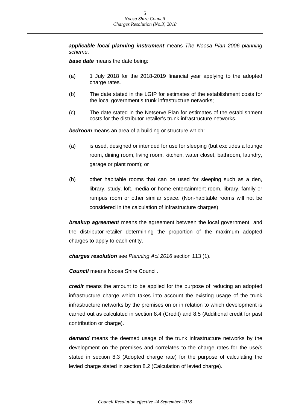*applicable local planning instrument* means *The Noosa Plan 2006 planning scheme*.

*base date* means the date being:

- (a) 1 July 2018 for the 2018-2019 financial year applying to the adopted charge rates.
- (b) The date stated in the LGIP for estimates of the establishment costs for the local government's trunk infrastructure networks;
- (c) The date stated in the Netserve Plan for estimates of the establishment costs for the distributor-retailer's trunk infrastructure networks.

*bedroom* means an area of a building or structure which:

- (a) is used, designed or intended for use for sleeping (but excludes a lounge room, dining room, living room, kitchen, water closet, bathroom, laundry, garage or plant room); or
- (b) other habitable rooms that can be used for sleeping such as a den, library, study, loft, media or home entertainment room, library, family or rumpus room or other similar space. (Non-habitable rooms will not be considered in the calculation of infrastructure charges)

*breakup agreement* means the agreement between the local government and the distributor-retailer determining the proportion of the maximum adopted charges to apply to each entity.

*charges resolution* see *Planning Act 2016* section 113 (1).

*Council* means Noosa Shire Council.

*credit* means the amount to be applied for the purpose of reducing an adopted infrastructure charge which takes into account the existing usage of the trunk infrastructure networks by the premises on or in relation to which development is carried out as calculated in section 8.4 (Credit) and 8.5 (Additional credit for past contribution or charge).

*demand* means the deemed usage of the trunk infrastructure networks by the development on the premises and correlates to the charge rates for the use/s stated in section 8.3 (Adopted charge rate) for the purpose of calculating the levied charge stated in section 8.2 (Calculation of levied charge).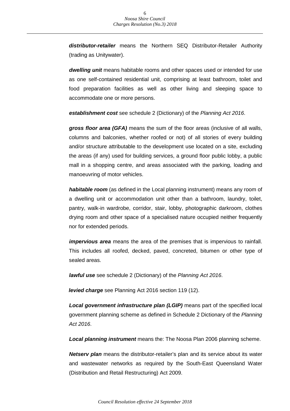*distributor-retailer* means the Northern SEQ Distributor-Retailer Authority (trading as Unitywater).

*dwelling unit* means habitable rooms and other spaces used or intended for use as one self-contained residential unit, comprising at least bathroom, toilet and food preparation facilities as well as other living and sleeping space to accommodate one or more persons.

*establishment cost* see schedule 2 (Dictionary) of the *Planning Act 2016*.

*gross floor area (GFA)* means the sum of the floor areas (inclusive of all walls, columns and balconies, whether roofed or not) of all stories of every building and/or structure attributable to the development use located on a site, excluding the areas (if any) used for building services, a ground floor public lobby, a public mall in a shopping centre, and areas associated with the parking, loading and manoeuvring of motor vehicles.

*habitable room* (as defined in the Local planning instrument) means any room of a dwelling unit or accommodation unit other than a bathroom, laundry, toilet, pantry, walk-in wardrobe, corridor, stair, lobby, photographic darkroom, clothes drying room and other space of a specialised nature occupied neither frequently nor for extended periods.

*impervious area* means the area of the premises that is impervious to rainfall. This includes all roofed, decked, paved, concreted, bitumen or other type of sealed areas.

*lawful use* see schedule 2 (Dictionary) of the *Planning Act 2016*.

*levied charge* see Planning Act 2016 section 119 (12).

*Local government infrastructure plan (LGIP)* means part of the specified local government planning scheme as defined in Schedule 2 Dictionary of the *Planning Act 2016*.

*Local planning instrument* means the: The Noosa Plan 2006 planning scheme.

*Netserv plan* means the distributor-retailer's plan and its service about its water and wastewater networks as required by the South-East Queensland Water (Distribution and Retail Restructuring) Act 2009.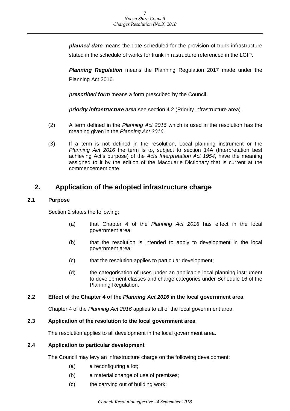*planned date* means the date scheduled for the provision of trunk infrastructure stated in the schedule of works for trunk infrastructure referenced in the LGIP.

*Planning Regulation* means the Planning Regulation 2017 made under the Planning Act 2016.

*prescribed form* means a form prescribed by the Council.

*priority infrastructure area* see section 4.2 (Priority infrastructure area).

- (2) A term defined in the *Planning Act 2016* which is used in the resolution has the meaning given in the *Planning Act 2016*.
- (3) If a term is not defined in the resolution, Local planning instrument or the *Planning Act 2016* the term is to, subject to section 14A (Interpretation best achieving Act's purpose) of the *Acts Interpretation Act 1954*, have the meaning assigned to it by the edition of the Macquarie Dictionary that is current at the commencement date.

## <span id="page-6-0"></span>**2. Application of the adopted infrastructure charge**

#### <span id="page-6-1"></span>**2.1 Purpose**

Section 2 states the following:

- (a) that Chapter 4 of the *Planning Act 2016* has effect in the local government area;
- (b) that the resolution is intended to apply to development in the local government area;
- (c) that the resolution applies to particular development;
- (d) the categorisation of uses under an applicable local planning instrument to development classes and charge categories under Schedule 16 of the Planning Regulation.

#### <span id="page-6-2"></span>**2.2 Effect of the Chapter 4 of the** *Planning Act 2016* **in the local government area**

Chapter 4 of the *Planning Act 2016* applies to all of the local government area.

#### <span id="page-6-3"></span>**2.3 Application of the resolution to the local government area**

The resolution applies to all development in the local government area.

#### <span id="page-6-4"></span>**2.4 Application to particular development**

The Council may levy an infrastructure charge on the following development:

- (a) a reconfiguring a lot;
- (b) a material change of use of premises;
- (c) the carrying out of building work;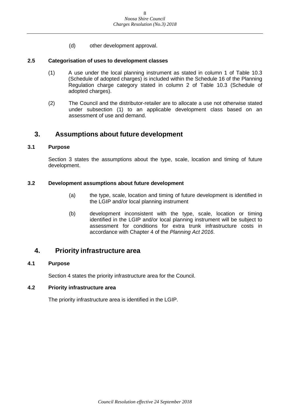(d) other development approval.

#### <span id="page-7-0"></span>**2.5 Categorisation of uses to development classes**

- (1) A use under the local planning instrument as stated in column 1 of Table 10.3 (Schedule of adopted charges) is included within the Schedule 16 of the Planning Regulation charge category stated in column 2 of Table 10.3 (Schedule of adopted charges).
- (2) The Council and the distributor-retailer are to allocate a use not otherwise stated under subsection (1) to an applicable development class based on an assessment of use and demand.

## <span id="page-7-1"></span>**3. Assumptions about future development**

#### <span id="page-7-2"></span>**3.1 Purpose**

Section 3 states the assumptions about the type, scale, location and timing of future development.

#### <span id="page-7-3"></span>**3.2 Development assumptions about future development**

- (a) the type, scale, location and timing of future development is identified in the LGIP and/or local planning instrument
- (b) development inconsistent with the type, scale, location or timing identified in the LGIP and/or local planning instrument will be subject to assessment for conditions for extra trunk infrastructure costs in accordance with Chapter 4 of the *Planning Act 2016*.

### <span id="page-7-4"></span>**4. Priority infrastructure area**

#### <span id="page-7-5"></span>**4.1 Purpose**

Section 4 states the priority infrastructure area for the Council.

#### <span id="page-7-6"></span>**4.2 Priority infrastructure area**

The priority infrastructure area is identified in the LGIP.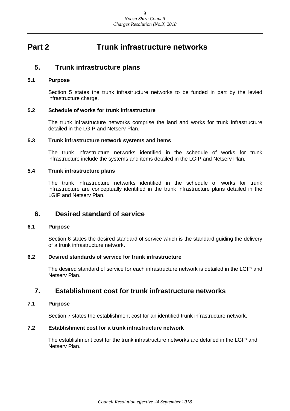## <span id="page-8-0"></span>**Part 2 Trunk infrastructure networks**

### <span id="page-8-1"></span>**5. Trunk infrastructure plans**

#### <span id="page-8-2"></span>**5.1 Purpose**

Section 5 states the trunk infrastructure networks to be funded in part by the levied infrastructure charge.

#### <span id="page-8-3"></span>**5.2 Schedule of works for trunk infrastructure**

The trunk infrastructure networks comprise the land and works for trunk infrastructure detailed in the LGIP and Netserv Plan.

#### <span id="page-8-4"></span>**5.3 Trunk infrastructure network systems and items**

The trunk infrastructure networks identified in the schedule of works for trunk infrastructure include the systems and items detailed in the LGIP and Netserv Plan.

#### <span id="page-8-5"></span>**5.4 Trunk infrastructure plans**

The trunk infrastructure networks identified in the schedule of works for trunk infrastructure are conceptually identified in the trunk infrastructure plans detailed in the LGIP and Netserv Plan.

### <span id="page-8-6"></span>**6. Desired standard of service**

#### <span id="page-8-7"></span>**6.1 Purpose**

Section 6 states the desired standard of service which is the standard guiding the delivery of a trunk infrastructure network.

#### <span id="page-8-8"></span>**6.2 Desired standards of service for trunk infrastructure**

The desired standard of service for each infrastructure network is detailed in the LGIP and Netserv Plan.

### <span id="page-8-9"></span>**7. Establishment cost for trunk infrastructure networks**

#### <span id="page-8-10"></span>**7.1 Purpose**

Section 7 states the establishment cost for an identified trunk infrastructure network.

#### <span id="page-8-11"></span>**7.2 Establishment cost for a trunk infrastructure network**

The establishment cost for the trunk infrastructure networks are detailed in the LGIP and Netserv Plan.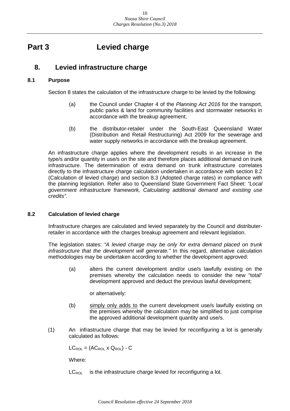## <span id="page-9-0"></span>**Part 3 Levied charge**

## <span id="page-9-1"></span>**8. Levied infrastructure charge**

#### <span id="page-9-2"></span>**8.1 Purpose**

Section 8 states the calculation of the infrastructure charge to be levied by the following:

- (a) the Council under Chapter 4 of the *Planning Act 2016* for the transport, public parks & land for community facilities and stormwater networks in accordance with the breakup agreement;
- (b) the distributor-retailer under the South-East Queensland Water (Distribution and Retail Restructuring) Act 2009 for the sewerage and water supply networks in accordance with the breakup agreement.

An infrastructure charge applies where the development results in an increase in the type/s and/or quantity in use/s on the site and therefore places additional demand on trunk infrastructure. The determination of extra demand on trunk infrastructure correlates directly to the infrastructure charge calculation undertaken in accordance with section 8.2 (Calculation of levied charge) and section 8.3 (Adopted charge rates) in compliance with the planning legislation. Refer also to Queensland State Government Fact Sheet: *"Local government infrastructure framework, Calculating additional demand and existing use credits"*.

#### <span id="page-9-3"></span>**8.2 Calculation of levied charge**

Infrastructure charges are calculated and levied separately by the Council and distributerretailer in accordance with the charges breakup agreement and relevant legislation.

The legislation states: *"A levied charge may be only for extra demand placed on trunk infrastructure that the development will generate."* In this regard, alternative calculation methodologies may be undertaken according to whether the development approved:

(a) alters the current development and/or use/s lawfully existing on the premises whereby the calculation needs to consider the new "total" development approved and deduct the previous lawful development;

or alternatively:

- (b) simply only adds to the current development use/s lawfully existing on the premises whereby the calculation may be simplified to just comprise the approved additional development quantity and use/s.
- (1) An infrastructure charge that may be levied for reconfiguring a lot is generally calculated as follows:

 $LC_{\text{ROL}} = (AC_{\text{ROL}} \times Q_{\text{ROL}}) - C$ 

Where:

 $LC_{\text{ROL}}$  is the infrastructure charge levied for reconfiguring a lot.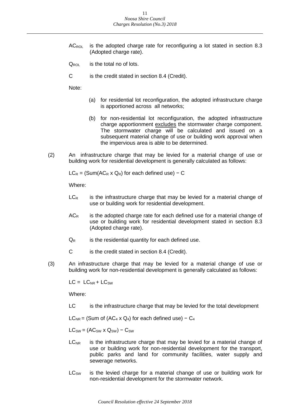- $AC_{\text{ROL}}$  is the adopted charge rate for reconfiguring a lot stated in section 8.3 (Adopted charge rate).
- $Q_{\text{ROI}}$  is the total no of lots.
- C is the credit stated in section 8.4 (Credit).

Note:

- (a) for residential lot reconfiguration, the adopted infrastructure charge is apportioned across all networks;
- (b) for non-residential lot reconfiguration, the adopted infrastructure charge apportionment excludes the stormwater charge component. The stormwater charge will be calculated and issued on a subsequent material change of use or building work approval when the impervious area is able to be determined.
- (2) An infrastructure charge that may be levied for a material change of use or building work for residential development is generally calculated as follows:

 $LC_R = (Sum(AC_R \times Q_R)$  for each defined use) – C

Where:

- $LC<sub>R</sub>$  is the infrastructure charge that may be levied for a material change of use or building work for residential development.
- $AC<sub>R</sub>$  is the adopted charge rate for each defined use for a material change of use or building work for residential development stated in section 8.3 (Adopted charge rate).
- $Q_R$  is the residential quantity for each defined use.
- C is the credit stated in section 8.4 (Credit).
- (3) An infrastructure charge that may be levied for a material change of use or building work for non-residential development is generally calculated as follows:

 $LC = LC_{NR} + LC_{SW}$ 

Where:

LC is the infrastructure charge that may be levied for the total development

 $LC_{NR}$  = (Sum of (AC<sub>4</sub> x Q<sub>4</sub>) for each defined use) – C<sub>4</sub>

 $LC_{SW} = (AC_{SW} \times Q_{SW}) - C_{SW}$ 

- $LC<sub>NR</sub>$  is the infrastructure charge that may be levied for a material change of use or building work for non-residential development for the transport, public parks and land for community facilities, water supply and sewerage networks.
- $LC<sub>SW</sub>$  is the levied charge for a material change of use or building work for non-residential development for the stormwater network.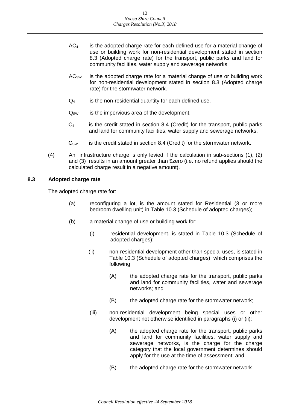- $AC<sub>4</sub>$  is the adopted charge rate for each defined use for a material change of use or building work for non-residential development stated in section 8.3 (Adopted charge rate) for the transport, public parks and land for community facilities, water supply and sewerage networks.
- $AC<sub>SW</sub>$  is the adopted charge rate for a material change of use or building work for non-residential development stated in section 8.3 (Adopted charge rate) for the stormwater network.
- $Q_4$  is the non-residential quantity for each defined use.
- $Q_{SW}$  is the impervious area of the development.
- $C_4$  is the credit stated in section 8.4 (Credit) for the transport, public parks and land for community facilities, water supply and sewerage networks.
- $C_{SW}$  is the credit stated in section 8.4 (Credit) for the stormwater network.
- (4) An infrastructure charge is only levied if the calculation in sub-sections (1), (2) and (3) results in an amount greater than \$zero (i.e. no refund applies should the calculated charge result in a negative amount).

#### <span id="page-11-0"></span>**8.3 Adopted charge rate**

The adopted charge rate for:

- (a) reconfiguring a lot, is the amount stated for Residential (3 or more bedroom dwelling unit) in Table 10.3 (Schedule of adopted charges);
- (b) a material change of use or building work for:
	- (i) residential development, is stated in Table 10.3 (Schedule of adopted charges);
	- (ii) non-residential development other than special uses, is stated in Table 10.3 (Schedule of adopted charges), which comprises the following:
		- (A) the adopted charge rate for the transport, public parks and land for community facilities, water and sewerage networks; and
		- (B) the adopted charge rate for the stormwater network;
	- (iii) non-residential development being special uses or other development not otherwise identified in paragraphs (i) or (ii):
		- (A) the adopted charge rate for the transport, public parks and land for community facilities, water supply and sewerage networks, is the charge for the charge category that the local government determines should apply for the use at the time of assessment; and
		- (B) the adopted charge rate for the stormwater network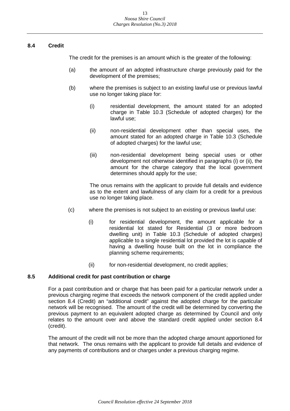#### <span id="page-12-0"></span>**8.4 Credit**

The credit for the premises is an amount which is the greater of the following:

- (a) the amount of an adopted infrastructure charge previously paid for the development of the premises;
- (b) where the premises is subject to an existing lawful use or previous lawful use no longer taking place for:
	- (i) residential development, the amount stated for an adopted charge in Table 10.3 (Schedule of adopted charges) for the lawful use;
	- (ii) non-residential development other than special uses, the amount stated for an adopted charge in Table 10.3 (Schedule of adopted charges) for the lawful use;
	- (iii) non-residential development being special uses or other development not otherwise identified in paragraphs (i) or (ii), the amount for the charge category that the local government determines should apply for the use;

The onus remains with the applicant to provide full details and evidence as to the extent and lawfulness of any claim for a credit for a previous use no longer taking place.

- (c) where the premises is not subject to an existing or previous lawful use:
	- (i) for residential development, the amount applicable for a residential lot stated for Residential (3 or more bedroom dwelling unit) in Table 10.3 (Schedule of adopted charges) applicable to a single residential lot provided the lot is capable of having a dwelling house built on the lot in compliance the planning scheme requirements;
	- (ii) for non-residential development, no credit applies;

#### <span id="page-12-1"></span>**8.5 Additional credit for past contribution or charge**

For a past contribution and or charge that has been paid for a particular network under a previous charging regime that exceeds the network component of the credit applied under section 8.4 (Credit) an "additional credit" against the adopted charge for the particular network will be recognised. The amount of the credit will be determined by converting the previous payment to an equivalent adopted charge as determined by Council and only relates to the amount over and above the standard credit applied under section 8.4 (credit).

The amount of the credit will not be more than the adopted charge amount apportioned for that network. The onus remains with the applicant to provide full details and evidence of any payments of contributions and or charges under a previous charging regime.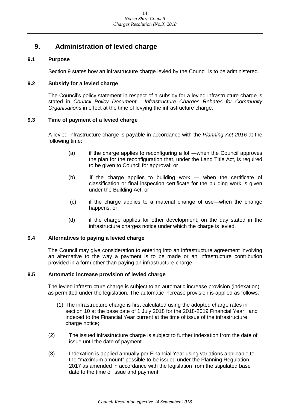## <span id="page-13-0"></span>**9. Administration of levied charge**

#### <span id="page-13-1"></span>**9.1 Purpose**

Section 9 states how an infrastructure charge levied by the Council is to be administered.

#### <span id="page-13-2"></span>**9.2 Subsidy for a levied charge**

The Council's policy statement in respect of a subsidy for a levied infrastructure charge is stated in *Council Policy Document - Infrastructure Charges Rebates for Community Organisations* in effect at the time of levying the infrastructure charge.

#### <span id="page-13-3"></span>**9.3 Time of payment of a levied charge**

A levied infrastructure charge is payable in accordance with the *Planning Act 2016* at the following time:

- (a) if the charge applies to reconfiguring a lot ―when the Council approves the plan for the reconfiguration that, under the Land Title Act, is required to be given to Council for approval; or
- (b) if the charge applies to building work ― when the certificate of classification or final inspection certificate for the building work is given under the Building Act; or
- (c) if the charge applies to a material change of use―when the change happens; or
- (d) if the charge applies for other development, on the day stated in the infrastructure charges notice under which the charge is levied.

#### <span id="page-13-4"></span>**9.4 Alternatives to paying a levied charge**

The Council may give consideration to entering into an infrastructure agreement involving an alternative to the way a payment is to be made or an infrastructure contribution provided in a form other than paying an infrastructure charge.

#### <span id="page-13-5"></span>**9.5 Automatic increase provision of levied charge**

The levied infrastructure charge is subject to an automatic increase provision (indexation) as permitted under the legislation. The automatic increase provision is applied as follows:

- (1) The infrastructure charge is first calculated using the adopted charge rates in section 10 at the base date of 1 July 2018 for the 2018-2019 Financial Year and indexed to the Financial Year current at the time of issue of the infrastructure charge notice;
- (2) The issued infrastructure charge is subject to further indexation from the date of issue until the date of payment.
- (3) Indexation is applied annually per Financial Year using variations applicable to the "maximum amount" possible to be issued under the Planning Regulation 2017 as amended in accordance with the legislation from the stipulated base date to the time of issue and payment.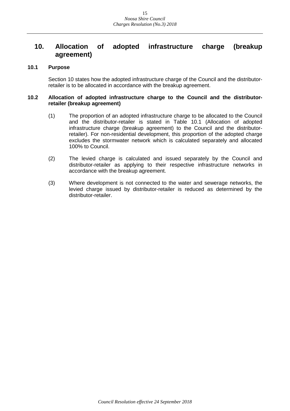## <span id="page-14-0"></span>**10. Allocation of adopted infrastructure charge (breakup agreement)**

#### <span id="page-14-1"></span>**10.1 Purpose**

Section 10 states how the adopted infrastructure charge of the Council and the distributorretailer is to be allocated in accordance with the breakup agreement.

#### <span id="page-14-2"></span>**10.2 Allocation of adopted infrastructure charge to the Council and the distributorretailer (breakup agreement)**

- (1) The proportion of an adopted infrastructure charge to be allocated to the Council and the distributor-retailer is stated in Table 10.1 (Allocation of adopted infrastructure charge (breakup agreement) to the Council and the distributorretailer). For non-residential development, this proportion of the adopted charge excludes the stormwater network which is calculated separately and allocated 100% to Council.
- (2) The levied charge is calculated and issued separately by the Council and distributor-retailer as applying to their respective infrastructure networks in accordance with the breakup agreement.
- (3) Where development is not connected to the water and sewerage networks, the levied charge issued by distributor-retailer is reduced as determined by the distributor-retailer.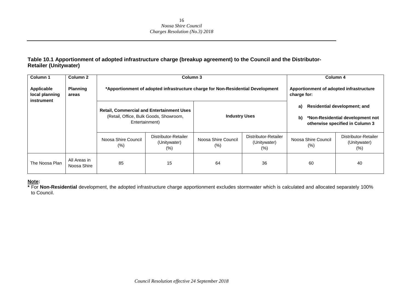#### **Table 10.1 Apportionment of adopted infrastructure charge (breakup agreement) to the Council and the Distributor-Retailer (Unitywater)**

| <b>Column 1</b>                            | Column 2                    |                             | Column 3                                                                                                     |                                                        |                                                |                             | Column 4                                                                                                   |
|--------------------------------------------|-----------------------------|-----------------------------|--------------------------------------------------------------------------------------------------------------|--------------------------------------------------------|------------------------------------------------|-----------------------------|------------------------------------------------------------------------------------------------------------|
| Applicable<br>local planning<br>instrument | <b>Planning</b><br>areas    |                             | *Apportionment of adopted infrastructure charge for Non-Residential Development                              | Apportionment of adopted infrastructure<br>charge for: |                                                |                             |                                                                                                            |
|                                            |                             |                             | <b>Retail, Commercial and Entertainment Uses</b><br>(Retail, Office, Bulk Goods, Showroom,<br>Entertainment) | <b>Industry Uses</b>                                   |                                                | a)<br>b)                    | <b>Residential development; and</b><br>*Non-Residential development not<br>otherwise specified in Column 3 |
|                                            |                             | Noosa Shire Council<br>(% ) | Distributor-Retailer<br>(Unitywater)<br>$(\%)$                                                               | Noosa Shire Council<br>$(\%)$                          | Distributor-Retailer<br>(Unitywater)<br>$(\%)$ | Noosa Shire Council<br>(% ) | Distributor-Retailer<br>(Unitywater)<br>$(\% )$                                                            |
| The Noosa Plan                             | All Areas in<br>Noosa Shire | 85                          | 15                                                                                                           | 64                                                     | 36                                             | 60                          | 40                                                                                                         |

#### **Note:**

**\*** For **Non-Residential** development, the adopted infrastructure charge apportionment excludes stormwater which is calculated and allocated separately 100% to Council.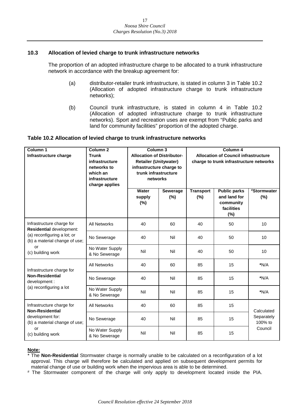#### <span id="page-16-0"></span>**10.3 Allocation of levied charge to trunk infrastructure networks**

The proportion of an adopted infrastructure charge to be allocated to a trunk infrastructure network in accordance with the breakup agreement for:

- (a) distributor-retailer trunk infrastructure, is stated in column 3 in Table 10.2 (Allocation of adopted infrastructure charge to trunk infrastructure networks);
- (b) Council trunk infrastructure, is stated in column 4 in Table 10.2 (Allocation of adopted infrastructure charge to trunk infrastructure networks). Sport and recreation uses are exempt from "Public parks and land for community facilities" proportion of the adopted charge.

#### **Table 10.2 Allocation of levied charge to trunk infrastructure networks**

| Column 1<br>Infrastructure charge                            | Column <sub>2</sub><br><b>Trunk</b><br>infrastructure<br>networks to<br>which an<br>infrastructure<br>charge applies | Column <sub>3</sub><br><b>Allocation of Distributor-</b><br><b>Retailer (Unitywater)</b><br>infrastructure charge to<br>trunk infrastructure<br>networks |                        | Column 4<br><b>Allocation of Council infrastructure</b><br>charge to trunk infrastructure networks |                                                                       |                       |
|--------------------------------------------------------------|----------------------------------------------------------------------------------------------------------------------|----------------------------------------------------------------------------------------------------------------------------------------------------------|------------------------|----------------------------------------------------------------------------------------------------|-----------------------------------------------------------------------|-----------------------|
|                                                              |                                                                                                                      | Water<br>supply<br>(%)                                                                                                                                   | <b>Sewerage</b><br>(%) | <b>Transport</b><br>(%)                                                                            | <b>Public parks</b><br>and land for<br>community<br>facilities<br>(%) | #Stormwater<br>(%)    |
| Infrastructure charge for<br>Residential development:        | <b>All Networks</b>                                                                                                  | 40                                                                                                                                                       | 60                     | 40                                                                                                 | 50                                                                    | 10                    |
| (a) reconfiguring a lot; or<br>(b) a material change of use; | No Sewerage                                                                                                          | 40                                                                                                                                                       | Nil                    | 40                                                                                                 | 50                                                                    | 10                    |
| or<br>(c) building work                                      | No Water Supply<br>& No Sewerage                                                                                     | Nil                                                                                                                                                      | Nil                    | 40                                                                                                 | 50                                                                    | 10                    |
| Infrastructure charge for                                    | <b>All Networks</b>                                                                                                  | 40                                                                                                                                                       | 60                     | 85                                                                                                 | 15                                                                    | $*N/A$                |
| <b>Non-Residential</b><br>development :                      | No Sewerage                                                                                                          | 40                                                                                                                                                       | Nil                    | 85                                                                                                 | 15                                                                    | *N/A                  |
| (a) reconfiguring a lot                                      | No Water Supply<br>& No Sewerage                                                                                     | Nil                                                                                                                                                      | Nil                    | 85                                                                                                 | 15                                                                    | $*N/A$                |
| Infrastructure charge for<br><b>Non-Residential</b>          | <b>All Networks</b>                                                                                                  | 40                                                                                                                                                       | 60                     | 85                                                                                                 | 15                                                                    | Calculated            |
| development for:<br>(b) a material change of use;            | No Sewerage                                                                                                          | 40                                                                                                                                                       | Nil                    | 85                                                                                                 | 15                                                                    | Separately<br>100% to |
| or<br>(c) building work                                      | No Water Supply<br>& No Sewerage                                                                                     | Nil                                                                                                                                                      | Nil                    | 85                                                                                                 | 15                                                                    | Council               |

#### **Note:**

\* The **Non-Residential** Stormwater charge is normally unable to be calculated on a reconfiguration of a lot approval. This charge will therefore be calculated and applied on subsequent development permits for material change of use or building work when the impervious area is able to be determined.

# The Stormwater component of the charge will only apply to development located inside the PIA.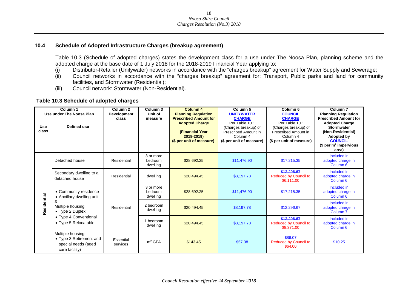#### **10.4 Schedule of Adopted Infrastructure Charges (breakup agreement)**

Table 10.3 (Schedule of adopted charges) states the development class for a use under The Noosa Plan, planning scheme and the adopted charge at the base date of 1 July 2018 for the 2018-2019 Financial Year applying to:

- (i) Distributor-Retailer (Unitywater) networks in accordance with the "charges breakup" agreement for Water Supply and Sewerage;<br>(ii) Council networks in accordance with the "charges breakup" agreement for: Transport, Publ
- Council networks in accordance with the "charges breakup" agreement for: Transport, Public parks and land for community facilities, and Stormwater (Residential);
- (iii) Council network: Stormwater (Non-Residential).

#### **Table 10.3 Schedule of adopted charges**

<span id="page-17-0"></span>

| <b>Use</b> | Column 1<br>Use under The Noosa Plan<br>Defined use                                  | Column <sub>2</sub><br><b>Development</b><br>class | Column 3<br>Unit of<br>measure   | Column 4<br><b>Planning Regulation</b><br><b>Prescribed Amount for</b><br><b>Adopted Charge</b> | Column <sub>5</sub><br><b>UNITYWATER</b><br><b>CHARGE</b><br>Per Table 10.1<br>(Charges breakup) of | Column <sub>6</sub><br><b>COUNCIL</b><br><b>CHARGE</b><br>Per Table 10.1<br>(Charges breakup) of | Column <sub>7</sub><br><b>Planning Regulation</b><br><b>Prescribed Amount for</b><br><b>Adopted Charge</b><br><b>Stormwater</b> |
|------------|--------------------------------------------------------------------------------------|----------------------------------------------------|----------------------------------|-------------------------------------------------------------------------------------------------|-----------------------------------------------------------------------------------------------------|--------------------------------------------------------------------------------------------------|---------------------------------------------------------------------------------------------------------------------------------|
| class      |                                                                                      |                                                    |                                  | <b>(Financial Year)</b><br>2018-2019)<br>(\$ per unit of measure)                               | Prescribed Amount in<br>Column 4<br>(\$ per unit of measure)                                        | Prescribed Amount in<br>Column 4<br>(\$ per unit of measure)                                     | (Non-Residential)<br>Adopted by<br><b>COUNCIL</b><br>(\$ per $m2$ impervious<br>area)                                           |
|            | Detached house                                                                       | Residential                                        | 3 or more<br>bedroom<br>dwelling | \$28.692.25                                                                                     | \$11.476.90                                                                                         | \$17.215.35                                                                                      | Included in<br>adopted charge in<br>Column <sub>6</sub>                                                                         |
|            | Secondary dwelling to a<br>detached house                                            | Residential                                        | dwelling                         | \$20.494.45                                                                                     | \$8.197.78                                                                                          | \$12,296.67<br><b>Reduced by Council to</b><br>\$6,111.00                                        | Included in<br>adopted charge in<br>Column <sub>6</sub>                                                                         |
|            | • Community residence<br>• Ancillary dwelling unit                                   |                                                    | 3 or more<br>bedroom<br>dwelling | \$28,692.25                                                                                     | \$11.476.90                                                                                         | \$17,215,35                                                                                      | Included in<br>adopted charge in<br>Column <sub>6</sub>                                                                         |
| esidential | Multiple housing<br>$\bullet$ Type 2 Duplex                                          | Residential                                        | 2 bedroom<br>dwelling            | \$20,494.45                                                                                     | \$8,197.78                                                                                          | \$12,296.67                                                                                      | Included in<br>adopted charge in<br>Column <sub>7</sub>                                                                         |
|            | • Type 4 Conventional<br>• Type 5 Relocatable                                        |                                                    | bedroom<br>dwelling              | \$20,494.45                                                                                     | \$8.197.78                                                                                          | \$12,296.67<br><b>Reduced by Council to</b><br>\$8,371,00                                        | Included in<br>adopted charge in<br>Column <sub>6</sub>                                                                         |
|            | Multiple housing<br>• Type 3 Retirement and<br>special needs (aged<br>care facility) | Essential<br>services                              | m <sup>2</sup> GFA               | \$143.45                                                                                        | \$57.38                                                                                             | \$86.07<br><b>Reduced by Council to</b><br>\$64.00                                               | \$10.25                                                                                                                         |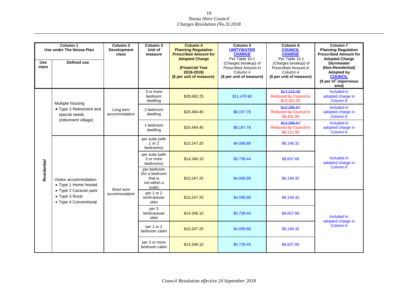| <b>Use</b><br>class | Column 1<br>Use under The Noosa Plan<br><b>Defined use</b>       | Column <sub>2</sub><br><b>Development</b><br>class | Column <sub>3</sub><br>Unit of<br>measure                          | <b>Column 4</b><br><b>Planning Regulation</b><br><b>Prescribed Amount for</b><br><b>Adopted Charge</b><br>(Financial Year<br>2018-2019)<br>(\$ per unit of measure) | Column 5<br><b>UNITYWATER</b><br><b>CHARGE</b><br>Per Table 10.1<br>(Charges breakup) of<br>Prescribed Amount in<br>Column 4<br>(\$ per unit of measure) | Column <sub>6</sub><br><b>COUNCIL</b><br><b>CHARGE</b><br>Per Table 10.1<br>(Charges breakup) of<br>Prescribed Amount in<br>Column 4<br>(\$ per unit of measure) | Column <sub>7</sub><br><b>Planning Regulation</b><br><b>Prescribed Amount for</b><br><b>Adopted Charge</b><br><b>Stormwater</b><br>(Non-Residential)<br><b>Adopted by</b><br><b>COUNCIL</b> |
|---------------------|------------------------------------------------------------------|----------------------------------------------------|--------------------------------------------------------------------|---------------------------------------------------------------------------------------------------------------------------------------------------------------------|----------------------------------------------------------------------------------------------------------------------------------------------------------|------------------------------------------------------------------------------------------------------------------------------------------------------------------|---------------------------------------------------------------------------------------------------------------------------------------------------------------------------------------------|
|                     |                                                                  |                                                    |                                                                    |                                                                                                                                                                     |                                                                                                                                                          |                                                                                                                                                                  | \$ per m <sup>2</sup> impervious<br>area)                                                                                                                                                   |
|                     | Multiple housing                                                 |                                                    | 3 or more<br>bedroom<br>dwelling                                   | \$28,692.25                                                                                                                                                         | \$11,476.90                                                                                                                                              | \$17,215,35<br><b>Reduced by Council to</b><br>\$13,161.00                                                                                                       | Included in<br>adopted charge in<br>Column <sub>6</sub>                                                                                                                                     |
|                     | • Type 3 Retirement and<br>special needs                         | Long term<br>accommodation                         | 2 bedroom<br>dwelling                                              | \$20,494.45                                                                                                                                                         | \$8,197.78                                                                                                                                               | \$12,296.67<br><b>Reduced by Council to</b><br>\$9,401.00                                                                                                        | Included in<br>adopted charge in<br>Column <sub>6</sub>                                                                                                                                     |
|                     | (retirement village)                                             |                                                    | 1 bedroom<br>dwelling                                              | \$20,494.45                                                                                                                                                         | \$8,197.78                                                                                                                                               | \$12,296.67<br><b>Reduced by Council to</b><br>\$6,111.00                                                                                                        | Included in<br>adopted charge in<br>Column <sub>6</sub>                                                                                                                                     |
|                     |                                                                  | Short term<br>accommodation                        | per suite (with<br>1 or 2<br>bedrooms)                             | \$10,247.20                                                                                                                                                         | \$4,098.88                                                                                                                                               | \$6,148.32                                                                                                                                                       |                                                                                                                                                                                             |
|                     |                                                                  |                                                    | per suite (with<br>3 or more<br>bedrooms)                          | \$14,346.10                                                                                                                                                         | \$5,738.44                                                                                                                                               | \$8,607.66                                                                                                                                                       | Included in<br>adopted charge in                                                                                                                                                            |
| Residential         | Visitor accommodation<br>• Type 1 Home hosted                    |                                                    | per bedroom<br>(for a bedroom<br>that is<br>not within a<br>suite) | \$10,247.20                                                                                                                                                         | \$4,098.88                                                                                                                                               | \$6,148.32                                                                                                                                                       | Column <sub>6</sub>                                                                                                                                                                         |
|                     | • Type 2 Caravan park<br>• Type 3 Rural<br>• Type 4 Conventional |                                                    | per 1 or 2<br>tent/caravan<br>sites                                | \$10,247.20                                                                                                                                                         | \$4,098.88                                                                                                                                               | \$6,148.32                                                                                                                                                       |                                                                                                                                                                                             |
|                     |                                                                  |                                                    | per 3<br>tent/caravan<br>sites                                     | \$14,346.10                                                                                                                                                         | \$5.738.44                                                                                                                                               | \$8,607.66                                                                                                                                                       | Included in                                                                                                                                                                                 |
|                     |                                                                  |                                                    | per 1 or 2<br>bedroom cabin                                        | \$10,247.20                                                                                                                                                         | \$4,098.88                                                                                                                                               | \$6,148.32                                                                                                                                                       | adopted charge in<br>Column <sub>6</sub>                                                                                                                                                    |
|                     |                                                                  |                                                    | per 3 or more<br>bedroom cabin                                     | \$14,346.10                                                                                                                                                         | \$5,738.44                                                                                                                                               | \$8,607.66                                                                                                                                                       |                                                                                                                                                                                             |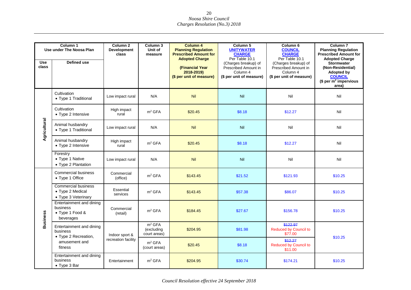| <b>Use</b><br>class | Column 1<br>Use under The Noosa Plan<br><b>Defined use</b>            | Column <sub>2</sub><br><b>Development</b><br>class | Column <sub>3</sub><br>Unit of<br>measure        | <b>Column 4</b><br><b>Planning Regulation</b><br><b>Prescribed Amount for</b><br><b>Adopted Charge</b><br>(Financial Year<br>2018-2019)<br>(\$ per unit of measure) | Column <sub>5</sub><br><b>UNITYWATER</b><br><b>CHARGE</b><br>Per Table 10.1<br>(Charges breakup) of<br>Prescribed Amount in<br>Column 4<br>(\$ per unit of measure) | Column <sub>6</sub><br><b>COUNCIL</b><br><b>CHARGE</b><br>Per Table 10.1<br>(Charges breakup) of<br>Prescribed Amount in<br>Column 4<br>(\$ per unit of measure) | Column <sub>7</sub><br><b>Planning Regulation</b><br><b>Prescribed Amount for</b><br><b>Adopted Charge</b><br>Stormwater<br>(Non-Residential)<br><b>Adopted by</b><br><b>COUNCIL</b><br>\$ per m <sup>2</sup> impervious |
|---------------------|-----------------------------------------------------------------------|----------------------------------------------------|--------------------------------------------------|---------------------------------------------------------------------------------------------------------------------------------------------------------------------|---------------------------------------------------------------------------------------------------------------------------------------------------------------------|------------------------------------------------------------------------------------------------------------------------------------------------------------------|--------------------------------------------------------------------------------------------------------------------------------------------------------------------------------------------------------------------------|
|                     | Cultivation<br>• Type 1 Traditional                                   | Low impact rural                                   | N/A                                              | Nil                                                                                                                                                                 | <b>Nil</b>                                                                                                                                                          | Nil                                                                                                                                                              | area)<br>Nil                                                                                                                                                                                                             |
|                     | Cultivation<br>• Type 2 Intensive                                     | High impact<br>rural                               | m <sup>2</sup> GFA                               | \$20.45                                                                                                                                                             | \$8.18                                                                                                                                                              | \$12.27                                                                                                                                                          | Nil                                                                                                                                                                                                                      |
| Agricultural        | Animal husbandry<br>• Type 1 Traditional                              | Low impact rural                                   | N/A                                              | Nil                                                                                                                                                                 | Nil                                                                                                                                                                 | Nil                                                                                                                                                              | Nil                                                                                                                                                                                                                      |
|                     | Animal husbandry<br>• Type 2 Intensive                                | High impact<br>rural                               | m <sup>2</sup> GFA                               | \$20.45                                                                                                                                                             | \$8.18                                                                                                                                                              | \$12.27                                                                                                                                                          | Nil                                                                                                                                                                                                                      |
|                     | Forestry<br>• Type 1 Native<br>• Type 2 Plantation                    | Low impact rural                                   | N/A                                              | Nil                                                                                                                                                                 | Nil                                                                                                                                                                 | Nil                                                                                                                                                              | Nil                                                                                                                                                                                                                      |
|                     | Commercial business<br>• Type 1 Office                                | Commercial<br>(office)                             | m <sup>2</sup> GFA                               | \$143.45                                                                                                                                                            | \$21.52                                                                                                                                                             | \$121.93                                                                                                                                                         | \$10.25                                                                                                                                                                                                                  |
|                     | <b>Commercial business</b><br>• Type 2 Medical<br>• Type 3 Veterinary | Essential<br>services                              | m <sup>2</sup> GFA                               | \$143.45                                                                                                                                                            | \$57.38                                                                                                                                                             | \$86.07                                                                                                                                                          | \$10.25                                                                                                                                                                                                                  |
| <b>Business</b>     | Entertainment and dining<br>business<br>• Type 1 Food &<br>beverages  | Commercial<br>(retail)                             | m <sup>2</sup> GFA                               | \$184.45                                                                                                                                                            | \$27.67                                                                                                                                                             | \$156.78                                                                                                                                                         | \$10.25                                                                                                                                                                                                                  |
|                     | Entertainment and dining<br>business<br>• Type 2 Recreation,          | Indoor sport &                                     | m <sup>2</sup> GFA<br>(excluding<br>court areas) | \$204.95                                                                                                                                                            | \$81.98                                                                                                                                                             | \$122.97<br><b>Reduced by Council to</b><br>\$77.00                                                                                                              | \$10.25                                                                                                                                                                                                                  |
|                     | amusement and<br>fitness                                              | recreation facility                                | m <sup>2</sup> GFA<br>(court areas)              | \$20.45                                                                                                                                                             | \$8.18                                                                                                                                                              | \$12.27<br><b>Reduced by Council to</b><br>\$11.00                                                                                                               |                                                                                                                                                                                                                          |
|                     | Entertainment and dining<br>business<br>$\bullet$ Type 3 Bar          | Entertainment                                      | m <sup>2</sup> GFA                               | \$204.95                                                                                                                                                            | \$30.74                                                                                                                                                             | \$174.21                                                                                                                                                         | \$10.25                                                                                                                                                                                                                  |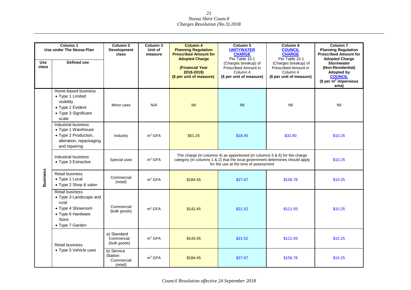| Column 1<br>Use under The Noosa Plan |                                                                                                                                 | Column 2<br><b>Development</b><br>class                | Column 3<br>Unit of<br>measure | <b>Column 4</b><br><b>Planning Regulation</b><br><b>Prescribed Amount for</b><br><b>Adopted Charge</b>                                                                                                  | Column 5<br><b>UNITYWATER</b><br><b>CHARGE</b><br>Per Table 10.1                     | Column <sub>6</sub><br><b>COUNCIL</b><br><b>CHARGE</b><br>Per Table 10.1             | Column <sub>7</sub><br><b>Planning Regulation</b><br><b>Prescribed Amount for</b><br><b>Adopted Charge</b>                 |
|--------------------------------------|---------------------------------------------------------------------------------------------------------------------------------|--------------------------------------------------------|--------------------------------|---------------------------------------------------------------------------------------------------------------------------------------------------------------------------------------------------------|--------------------------------------------------------------------------------------|--------------------------------------------------------------------------------------|----------------------------------------------------------------------------------------------------------------------------|
| <b>Use</b><br>class                  | Defined use                                                                                                                     |                                                        |                                | (Financial Year<br>2018-2019)<br>(\$ per unit of measure)                                                                                                                                               | (Charges breakup) of<br>Prescribed Amount in<br>Column 4<br>(\$ per unit of measure) | (Charges breakup) of<br>Prescribed Amount in<br>Column 4<br>(\$ per unit of measure) | <b>Stormwater</b><br>(Non-Residential)<br><b>Adopted by</b><br><b>COUNCIL</b><br>\$ per m <sup>2</sup> impervious<br>area) |
|                                      | Home-based business<br>• Type 1 Limited<br>visibility<br>• Type 2 Evident<br>• Type 3 Significant<br>scale                      | Minor uses                                             | N/A                            | Nil                                                                                                                                                                                                     | Nil                                                                                  | Nil                                                                                  | Nil                                                                                                                        |
|                                      | Industrial business<br>• Type 1 Warehouse<br>• Type 2 Production,<br>alteration, repackaging<br>and repairing                   | Industry                                               | m <sup>2</sup> GFA             | \$51.25                                                                                                                                                                                                 | \$18.45                                                                              | \$32.80                                                                              | \$10.25                                                                                                                    |
|                                      | Industrial business<br>• Type 3 Extractive                                                                                      | Special uses                                           | m <sup>2</sup> GFA             | The charge (in columns 4) as apportioned (in columns $5 & 6$ ) for the charge<br>category (in columns 1 & 2) that the local government determines should apply<br>for the use at the time of assessment | \$10.25                                                                              |                                                                                      |                                                                                                                            |
| <b>Business</b>                      | Retail business<br>• Type 1 Local<br>• Type 2 Shop & salon                                                                      | Commercial<br>(retail)                                 | m <sup>2</sup> GFA             | \$184.45                                                                                                                                                                                                | \$27.67                                                                              | \$156.78                                                                             | \$10.25                                                                                                                    |
|                                      | Retail business<br>• Type 3 Landscape and<br>rural<br>• Type 4 Showroom<br>• Type 6 Hardware<br><b>Store</b><br>• Type 7 Garden | Commercial<br>(bulk goods)                             | m <sup>2</sup> GFA             | \$143.45                                                                                                                                                                                                | \$21.52                                                                              | \$121.93                                                                             | \$10.25                                                                                                                    |
|                                      | Retail business                                                                                                                 | a) Standard<br>Commercial<br>(bulk goods)              | m <sup>2</sup> GFA             | \$143.45                                                                                                                                                                                                | \$21.52                                                                              | \$121.93                                                                             | \$10.25                                                                                                                    |
|                                      | • Type 5 Vehicle uses                                                                                                           | b) Service<br><b>Station</b><br>Commercial<br>(retail) | m <sup>2</sup> GFA             | \$184.45                                                                                                                                                                                                | \$27.67                                                                              | \$156.78                                                                             | \$10.25                                                                                                                    |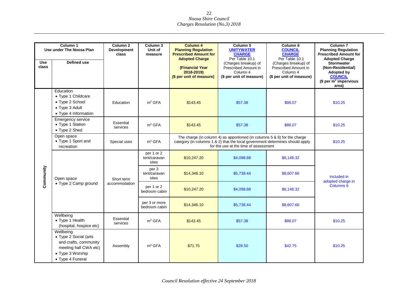|                     | Column 1<br>Use under The Noosa Plan                                                                                         | Column <sub>2</sub><br><b>Development</b><br>class | Column 3<br>Unit of<br>measure      | <b>Column 4</b><br><b>Planning Regulation</b><br><b>Prescribed Amount for</b><br><b>Adopted Charge</b>                                                                                                            | Column 5<br><b>UNITYWATER</b><br><b>CHARGE</b><br>Per Table 10.1                     | Column <sub>6</sub><br><b>COUNCIL</b><br><b>CHARGE</b><br>Per Table 10.1             | Column <sub>7</sub><br><b>Planning Regulation</b><br><b>Prescribed Amount for</b><br><b>Adopted Charge</b>                 |  |
|---------------------|------------------------------------------------------------------------------------------------------------------------------|----------------------------------------------------|-------------------------------------|-------------------------------------------------------------------------------------------------------------------------------------------------------------------------------------------------------------------|--------------------------------------------------------------------------------------|--------------------------------------------------------------------------------------|----------------------------------------------------------------------------------------------------------------------------|--|
| <b>Use</b><br>class | Defined use                                                                                                                  |                                                    |                                     | (Financial Year<br>2018-2019)<br>(\$ per unit of measure)                                                                                                                                                         | (Charges breakup) of<br>Prescribed Amount in<br>Column 4<br>(\$ per unit of measure) | (Charges breakup) of<br>Prescribed Amount in<br>Column 4<br>(\$ per unit of measure) | <b>Stormwater</b><br>(Non-Residential)<br><b>Adopted by</b><br><b>COUNCIL</b><br>\$ per m <sup>2</sup> impervious<br>area) |  |
|                     | Education<br>• Type 1 Childcare<br>• Type 2 School<br>• Type 3 Adult<br>• Type 4 Information                                 | Education                                          | m <sup>2</sup> GFA                  | \$143.45                                                                                                                                                                                                          | \$57.38                                                                              | \$86.07                                                                              | \$10.25                                                                                                                    |  |
|                     | <b>Emergency service</b><br>• Type 1 Station<br>• Type 2 Shed                                                                | Essential<br>services                              | m <sup>2</sup> GFA                  | \$143.45                                                                                                                                                                                                          | \$57.38                                                                              | \$86.07<br>\$10.25                                                                   |                                                                                                                            |  |
|                     | Open space<br>• Type 1 Sport and<br>recreation                                                                               | Special uses                                       | m <sup>2</sup> GFA                  | The charge (in column 4) as apportioned (in columns $5 & 6$ ) for the charge<br>category (in columns 1 & 2) that the local government determines should apply<br>\$10.25<br>for the use at the time of assessment |                                                                                      |                                                                                      |                                                                                                                            |  |
|                     | Open space                                                                                                                   | Short term<br>accommodation                        | per 1 or 2<br>tent/caravan<br>sites | \$10,247.20                                                                                                                                                                                                       | \$4,098.88                                                                           | \$6,148.32                                                                           |                                                                                                                            |  |
| <b>Community</b>    |                                                                                                                              |                                                    | per 3<br>tent/caravan<br>sites      | \$14,346.10                                                                                                                                                                                                       | \$5,738.44                                                                           | \$8,607.66                                                                           | Included in<br>adopted charge in                                                                                           |  |
|                     | • Type 2 Camp ground                                                                                                         |                                                    | per 1 or 2<br>bedroom cabin         | \$10,247.20                                                                                                                                                                                                       | \$4,098.88                                                                           | \$6,148.32                                                                           | Columns <sub>6</sub>                                                                                                       |  |
|                     |                                                                                                                              |                                                    | per 3 or more<br>bedroom cabin      | \$14,346.10                                                                                                                                                                                                       | \$5,738.44                                                                           | \$8,607.66                                                                           |                                                                                                                            |  |
|                     | Wellbeing<br>• Type 1 Health<br>(hospital, hospice etc)                                                                      | Essential<br>services                              | m <sup>2</sup> GFA                  | \$143.45                                                                                                                                                                                                          | \$57.38                                                                              | \$86.07                                                                              | \$10.25                                                                                                                    |  |
|                     | Wellbeing<br>• Type 2 Social (arts<br>and crafts, community<br>meeting hall CWA etc)<br>• Type 3 Worship<br>• Type 4 Funeral | Assembly                                           | m <sup>2</sup> GFA                  | \$71.75                                                                                                                                                                                                           | \$28.50                                                                              | \$42.75                                                                              | \$10.25                                                                                                                    |  |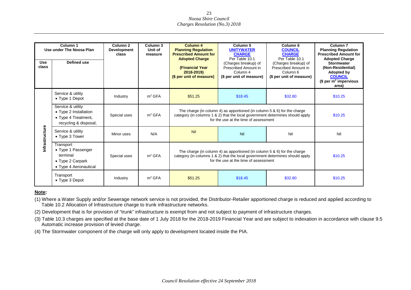| <b>Use</b><br>class | Column 1<br>Use under The Noosa Plan<br>Defined use                                        | Column <sub>2</sub><br><b>Development</b><br>class | Column 3<br>Unit of<br>measure | Column 4<br><b>Planning Regulation</b><br><b>Prescribed Amount for</b><br><b>Adopted Charge</b><br>(Financial Year<br>2018-2019)<br>(\$ per unit of measure)                                                     | Column 5<br><b>UNITYWATER</b><br><b>CHARGE</b><br>Per Table 10.1<br>(Charges breakup) of<br>Prescribed Amount in<br>Column 4<br>(\$ per unit of measure) | Column <sub>6</sub><br><b>COUNCIL</b><br><b>CHARGE</b><br>Per Table 10.1<br>(Charges breakup) of<br>Prescribed Amount in<br>Column 6<br>(\$ per unit of measure) | Column <sub>7</sub><br><b>Planning Regulation</b><br><b>Prescribed Amount for</b><br><b>Adopted Charge</b><br><b>Stormwater</b><br>(Non-Residential)<br><b>Adopted by</b><br><b>COUNCIL</b><br>(\$ per $m^2$ impervious |
|---------------------|--------------------------------------------------------------------------------------------|----------------------------------------------------|--------------------------------|------------------------------------------------------------------------------------------------------------------------------------------------------------------------------------------------------------------|----------------------------------------------------------------------------------------------------------------------------------------------------------|------------------------------------------------------------------------------------------------------------------------------------------------------------------|-------------------------------------------------------------------------------------------------------------------------------------------------------------------------------------------------------------------------|
|                     | Service & utility<br>$\bullet$ Type 1 Depot                                                | Industry                                           | m <sup>2</sup> GFA             | \$51.25                                                                                                                                                                                                          | \$18.45                                                                                                                                                  | \$32.80                                                                                                                                                          | area)<br>\$10.25                                                                                                                                                                                                        |
|                     | Service & utility<br>• Type 2 Installation<br>• Type 4 Treatment,<br>recycling & disposal; | Special uses                                       | m <sup>2</sup> GFA             | The charge (in column 4) as apportioned (in column $5 & 6$ ) for the charge<br>category (in columns 1 & 2) that the local government determines should apply<br>\$10.25<br>for the use at the time of assessment |                                                                                                                                                          |                                                                                                                                                                  |                                                                                                                                                                                                                         |
| nfrastructure       | Service & utility<br>• Type 3 Tower                                                        | Minor uses                                         | N/A                            | Nil                                                                                                                                                                                                              | Nil                                                                                                                                                      | Nil                                                                                                                                                              | Nil                                                                                                                                                                                                                     |
|                     | Transport<br>• Type 1 Passenger<br>terminal<br>• Type 2 Carpark<br>• Type 4 Aeronautical   | Special uses                                       | m <sup>2</sup> GFA             | The charge (in column 4) as apportioned (in column $5 & 6$ ) for the charge<br>category (in columns 1 & 2) that the local government determines should apply<br>\$10.25<br>for the use at the time of assessment |                                                                                                                                                          |                                                                                                                                                                  |                                                                                                                                                                                                                         |
|                     | Transport<br>$\bullet$ Type 3 Depot                                                        | Industry                                           | m <sup>2</sup> GFA             | \$51.25                                                                                                                                                                                                          | \$18.45                                                                                                                                                  | \$32.80                                                                                                                                                          | \$10.25                                                                                                                                                                                                                 |

#### **Note:**

(1) Where a Water Supply and/or Sewerage network service is not provided, the Distributor-Retailer apportioned charge is reduced and applied according to Table 10.2 Allocation of Infrastructure charge to trunk infrastructure networks.

(2) Development that is for provision of "trunk" infrastructure is exempt from and not subject to payment of infrastructure charges.

(3) Table 10.3 charges are specified at the base date of 1 July 2018 for the 2018-2019 Financial Year and are subject to indexation in accordance with clause 9.5 Automatic increase provision of levied charge.

(4) The Stormwater component of the charge will only apply to development located inside the PIA.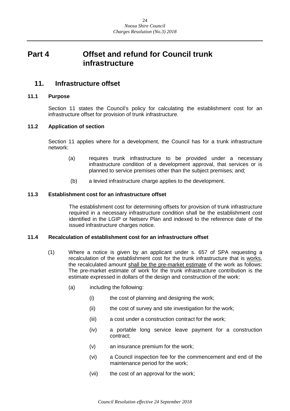## <span id="page-23-0"></span>**Part 4 Offset and refund for Council trunk infrastructure**

## <span id="page-23-1"></span>**11. Infrastructure offset**

#### <span id="page-23-2"></span>**11.1 Purpose**

Section 11 states the Council's policy for calculating the establishment cost for an infrastructure offset for provision of trunk infrastructure.

#### <span id="page-23-3"></span>**11.2 Application of section**

Section 11 applies where for a development, the Council has for a trunk infrastructure network:

- (a) requires trunk infrastructure to be provided under a necessary infrastructure condition of a development approval, that services or is planned to service premises other than the subject premises; and;
- (b) a levied infrastructure charge applies to the development.

#### <span id="page-23-4"></span>**11.3 Establishment cost for an infrastructure offset**

The establishment cost for determining offsets for provision of trunk infrastructure required in a necessary infrastructure condition shall be the establishment cost identified in the LGIP or Netserv Plan and indexed to the reference date of the issued infrastructure charges notice.

#### <span id="page-23-5"></span>**11.4 Recalculation of establishment cost for an infrastructure offset**

- (1) Where a notice is given by an applicant under s. 657 of SPA requesting a recalculation of the establishment cost for the trunk infrastructure that is works, the recalculated amount shall be the pre-market estimate of the work as follows: The pre-market estimate of work for the trunk infrastructure contribution is the estimate expressed in dollars of the design and construction of the work:
	- (a) including the following:
		- (i) the cost of planning and designing the work;
		- (ii) the cost of survey and site investigation for the work;
		- (iii) a cost under a construction contract for the work;
		- (iv) a portable long service leave payment for a construction contract;
		- (v) an insurance premium for the work;
		- (vi) a Council inspection fee for the commencement and end of the maintenance period for the work;
		- (vii) the cost of an approval for the work;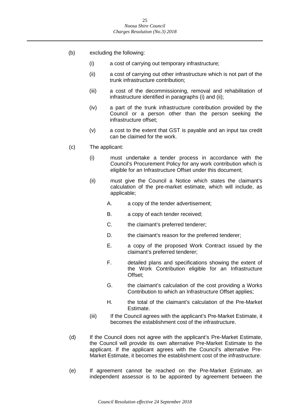- (b) excluding the following:
	- (i) a cost of carrying out temporary infrastructure;
	- (ii) a cost of carrying out other infrastructure which is not part of the trunk infrastructure contribution;
	- (iii) a cost of the decommissioning, removal and rehabilitation of infrastructure identified in paragraphs (i) and (ii);
	- (iv) a part of the trunk infrastructure contribution provided by the Council or a person other than the person seeking the infrastructure offset;
	- (v) a cost to the extent that GST is payable and an input tax credit can be claimed for the work.
- (c) The applicant:
	- (i) must undertake a tender process in accordance with the Council's Procurement Policy for any work contribution which is eligible for an Infrastructure Offset under this document;
	- (ii) must give the Council a Notice which states the claimant's calculation of the pre-market estimate, which will include, as applicable;
		- A. a copy of the tender advertisement;
		- B. a copy of each tender received;
		- C. the claimant's preferred tenderer;
		- D. the claimant's reason for the preferred tenderer;
		- E. a copy of the proposed Work Contract issued by the claimant's preferred tenderer;
		- F. detailed plans and specifications showing the extent of the Work Contribution eligible for an Infrastructure Offset;
		- G. the claimant's calculation of the cost providing a Works Contribution to which an Infrastructure Offset applies;
		- H. the total of the claimant's calculation of the Pre-Market Estimate.
	- (iii) If the Council agrees with the applicant's Pre-Market Estimate, it becomes the establishment cost of the infrastructure.
- (d) If the Council does not agree with the applicant's Pre-Market Estimate, the Council will provide its own alternative Pre-Market Estimate to the applicant. If the applicant agrees with the Council's alternative Pre-Market Estimate, it becomes the establishment cost of the infrastructure.
- (e) If agreement cannot be reached on the Pre-Market Estimate, an independent assessor is to be appointed by agreement between the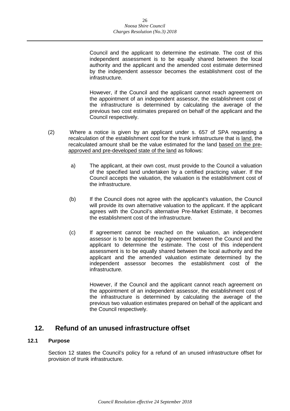Council and the applicant to determine the estimate. The cost of this independent assessment is to be equally shared between the local authority and the applicant and the amended cost estimate determined by the independent assessor becomes the establishment cost of the infrastructure.

However, if the Council and the applicant cannot reach agreement on the appointment of an independent assessor, the establishment cost of the infrastructure is determined by calculating the average of the previous two cost estimates prepared on behalf of the applicant and the Council respectively.

- (2) Where a notice is given by an applicant under s. 657 of SPA requesting a recalculation of the establishment cost for the trunk infrastructure that is land, the recalculated amount shall be the value estimated for the land based on the preapproved and pre-developed state of the land as follows:
	- a) The applicant, at their own cost, must provide to the Council a valuation of the specified land undertaken by a certified practicing valuer. If the Council accepts the valuation, the valuation is the establishment cost of the infrastructure.
	- (b) If the Council does not agree with the applicant's valuation, the Council will provide its own alternative valuation to the applicant. If the applicant agrees with the Council's alternative Pre-Market Estimate, it becomes the establishment cost of the infrastructure.
	- (c) If agreement cannot be reached on the valuation, an independent assessor is to be appointed by agreement between the Council and the applicant to determine the estimate. The cost of this independent assessment is to be equally shared between the local authority and the applicant and the amended valuation estimate determined by the independent assessor becomes the establishment cost of the infrastructure.

However, if the Council and the applicant cannot reach agreement on the appointment of an independent assessor, the establishment cost of the infrastructure is determined by calculating the average of the previous two valuation estimates prepared on behalf of the applicant and the Council respectively.

## <span id="page-25-0"></span>**12. Refund of an unused infrastructure offset**

#### <span id="page-25-1"></span>**12.1 Purpose**

Section 12 states the Council's policy for a refund of an unused infrastructure offset for provision of trunk infrastructure.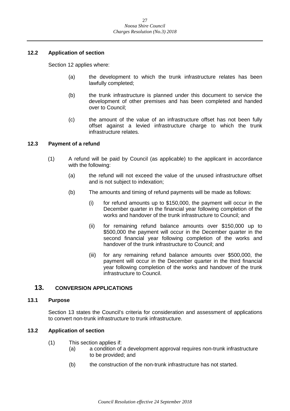#### <span id="page-26-0"></span>**12.2 Application of section**

Section 12 applies where:

- (a) the development to which the trunk infrastructure relates has been lawfully completed;
- (b) the trunk infrastructure is planned under this document to service the development of other premises and has been completed and handed over to Council;
- (c) the amount of the value of an infrastructure offset has not been fully offset against a levied infrastructure charge to which the trunk infrastructure relates.

#### <span id="page-26-1"></span>**12.3 Payment of a refund**

- (1) A refund will be paid by Council (as applicable) to the applicant in accordance with the following:
	- (a) the refund will not exceed the value of the unused infrastructure offset and is not subject to indexation;
	- (b) The amounts and timing of refund payments will be made as follows:
		- (i) for refund amounts up to \$150,000, the payment will occur in the December quarter in the financial year following completion of the works and handover of the trunk infrastructure to Council; and
		- (ii) for remaining refund balance amounts over \$150,000 up to \$500,000 the payment will occur in the December quarter in the second financial year following completion of the works and handover of the trunk infrastructure to Council; and
		- (iii) for any remaining refund balance amounts over \$500,000, the payment will occur in the December quarter in the third financial year following completion of the works and handover of the trunk infrastructure to Council.

#### <span id="page-26-2"></span>**13. CONVERSION APPLICATIONS**

#### <span id="page-26-3"></span>**13.1 Purpose**

Section 13 states the Council's criteria for consideration and assessment of applications to convert non-trunk infrastructure to trunk infrastructure.

#### <span id="page-26-4"></span>**13.2 Application of section**

- (1) This section applies if:
	- (a) a condition of a development approval requires non-trunk infrastructure to be provided; and
	- (b) the construction of the non-trunk infrastructure has not started.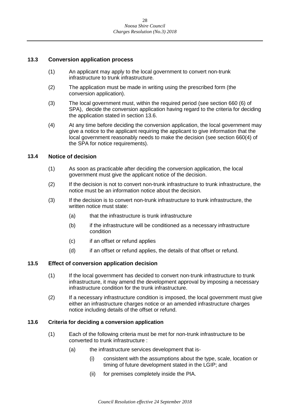#### <span id="page-27-0"></span>**13.3 Conversion application process**

- (1) An applicant may apply to the local government to convert non-trunk infrastructure to trunk infrastructure.
- (2) The application must be made in writing using the prescribed form (the conversion application).
- (3) The local government must, within the required period (see section 660 (6) of SPA), decide the conversion application having regard to the criteria for deciding the application stated in section 13.6.
- (4) At any time before deciding the conversion application, the local government may give a notice to the applicant requiring the applicant to give information that the local government reasonably needs to make the decision (see section 660(4) of the SPA for notice requirements).

#### <span id="page-27-1"></span>**13.4 Notice of decision**

- (1) As soon as practicable after deciding the conversion application, the local government must give the applicant notice of the decision.
- (2) If the decision is not to convert non-trunk infrastructure to trunk infrastructure, the notice must be an information notice about the decision.
- (3) If the decision is to convert non-trunk infrastructure to trunk infrastructure, the written notice must state:
	- (a) that the infrastructure is trunk infrastructure
	- (b) if the infrastructure will be conditioned as a necessary infrastructure condition
	- (c) if an offset or refund applies
	- (d) if an offset or refund applies, the details of that offset or refund.

#### <span id="page-27-2"></span>**13.5 Effect of conversion application decision**

- (1) If the local government has decided to convert non-trunk infrastructure to trunk infrastructure, it may amend the development approval by imposing a necessary infrastructure condition for the trunk infrastructure.
- (2) If a necessary infrastructure condition is imposed, the local government must give either an infrastructure charges notice or an amended infrastructure charges notice including details of the offset or refund.

#### <span id="page-27-3"></span>**13.6 Criteria for deciding a conversion application**

- (1) Each of the following criteria must be met for non-trunk infrastructure to be converted to trunk infrastructure :
	- (a) the infrastructure services development that is-
		- (i) consistent with the assumptions about the type, scale, location or timing of future development stated in the LGIP; and
		- (ii) for premises completely inside the PIA.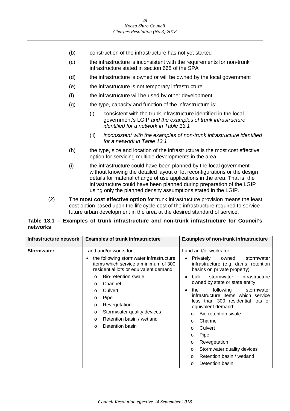- (b) construction of the infrastructure has not yet started
- (c) the infrastructure is inconsistent with the requirements for non-trunk infrastructure stated in section 665 of the SPA
- (d) the infrastructure is owned or will be owned by the local government
- (e) the infrastructure is not temporary infrastructure
- (f) the infrastructure will be used by other development
- (g) the type, capacity and function of the infrastructure is:
	- (i) consistent with the trunk infrastructure identified in the local government's LGIP *and the examples of trunk infrastructure identified for a network in Table 13.1*
	- (ii) *inconsistent with the examples of non-trunk infrastructure identified for a network in Table 13.1*
- (h) the type, size and location of the infrastructure is the most cost effective option for servicing multiple developments in the area.
- (i) the infrastructure could have been planned by the local government without knowing the detailed layout of lot reconfigurations or the design details for material change of use applications in the area. That is, the infrastructure could have been planned during preparation of the LGIP using only the planned density assumptions stated in the LGIP.
- (2) The **most cost effective option** for trunk infrastructure provision means the least cost option based upon the life cycle cost of the infrastructure required to service future urban development in the area at the desired standard of service.

#### **Table 13.1 – Examples of trunk infrastructure and non-trunk infrastructure for Council's networks**

| Infrastructure network | <b>Examples of trunk infrastructure</b>                                                                                                                                                                                                                                                                                                                                                             | <b>Examples of non-trunk infrastructure</b>                                                                                                                                                                                                                                                                                                                                                                                                                                                                                                                                      |
|------------------------|-----------------------------------------------------------------------------------------------------------------------------------------------------------------------------------------------------------------------------------------------------------------------------------------------------------------------------------------------------------------------------------------------------|----------------------------------------------------------------------------------------------------------------------------------------------------------------------------------------------------------------------------------------------------------------------------------------------------------------------------------------------------------------------------------------------------------------------------------------------------------------------------------------------------------------------------------------------------------------------------------|
| <b>Stormwater</b>      | Land and/or works for:<br>the following stormwater infrastructure<br>items which service a minimum of 300<br>residential lots or equivalent demand:<br>Bio-retention swale<br>$\Omega$<br>Channel<br>$\Omega$<br>Culvert<br>$\Omega$<br>Pipe<br>$\circ$<br>Revegetation<br>$\circ$<br>Stormwater quality devices<br>$\circ$<br>Retention basin / wetland<br>$\Omega$<br>Detention basin<br>$\Omega$ | Land and/or works for:<br>Privately<br>owned<br>stormwater<br>$\bullet$<br>infrastructure (e.g. dams, retention<br>basins on private property)<br>infrastructure<br>bulk<br>stormwater<br>owned by state or state entity<br>following<br>the<br>stormwater<br>$\bullet$<br>infrastructure items which service<br>less than 300 residential lots or<br>equivalent demand:<br>Bio-retention swale<br>O<br>Channel<br>O<br>Culvert<br>$\Omega$<br>Pipe<br>O<br>Revegetation<br>O<br>Stormwater quality devices<br>O<br>Retention basin / wetland<br>$\circ$<br>Detention basin<br>O |